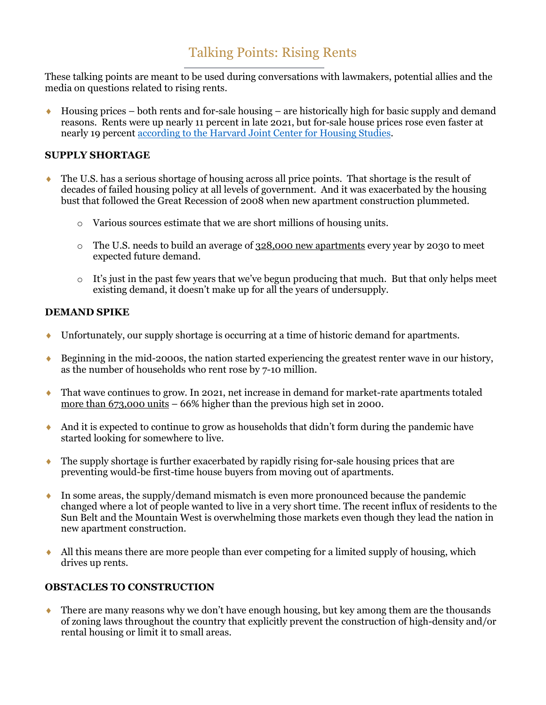# Talking Points: Rising Rents

These talking points are meant to be used during conversations with lawmakers, potential allies and the media on questions related to rising rents.

 $\bullet$  Housing prices – both rents and for-sale housing – are historically high for basic supply and demand reasons. Rents were up nearly 11 percent in late 2021, but for-sale house prices rose even faster at nearly 19 percent [according to the Harvard Joint Center for Housing Studies.](https://www.jchs.harvard.edu/americas-rental-housing-2022)

### **SUPPLY SHORTAGE**

- ♦ The U.S. has a serious shortage of housing across all price points. That shortage is the result of decades of failed housing policy at all levels of government. And it was exacerbated by the housing bust that followed the Great Recession of 2008 when new apartment construction plummeted.
	- o Various sources estimate that we are short millions of housing units.
	- o The U.S. needs to build an average of [328,000 new apartments](https://www.nmhc.org/research-insight/research-report/US-apartment-demand-a-forward-look/) every year by 2030 to meet expected future demand.
	- o It's just in the past few years that we've begun producing that much. But that only helps meet existing demand, it doesn't make up for all the years of undersupply.

#### **DEMAND SPIKE**

- ♦ Unfortunately, our supply shortage is occurring at a time of historic demand for apartments.
- ♦ Beginning in the mid-2000s, the nation started experiencing the greatest renter wave in our history, as the number of households who rent rose by 7-10 million.
- ♦ That wave continues to grow. In 2021, net increase in demand for market-rate apartments totaled [more than 673,000 units](https://www.realpage.com/analytics/demand-apartments-2021-smashes-previous-record-high/) – 66% higher than the previous high set in 2000.
- ♦ And it is expected to continue to grow as households that didn't form during the pandemic have started looking for somewhere to live.
- ♦ The supply shortage is further exacerbated by rapidly rising for-sale housing prices that are preventing would-be first-time house buyers from moving out of apartments.
- ♦ In some areas, the supply/demand mismatch is even more pronounced because the pandemic changed where a lot of people wanted to live in a very short time. The recent influx of residents to the Sun Belt and the Mountain West is overwhelming those markets even though they lead the nation in new apartment construction.
- All this means there are more people than ever competing for a limited supply of housing, which drives up rents.

### **OBSTACLES TO CONSTRUCTION**

♦ There are many reasons why we don't have enough housing, but key among them are the thousands of zoning laws throughout the country that explicitly prevent the construction of high-density and/or rental housing or limit it to small areas.